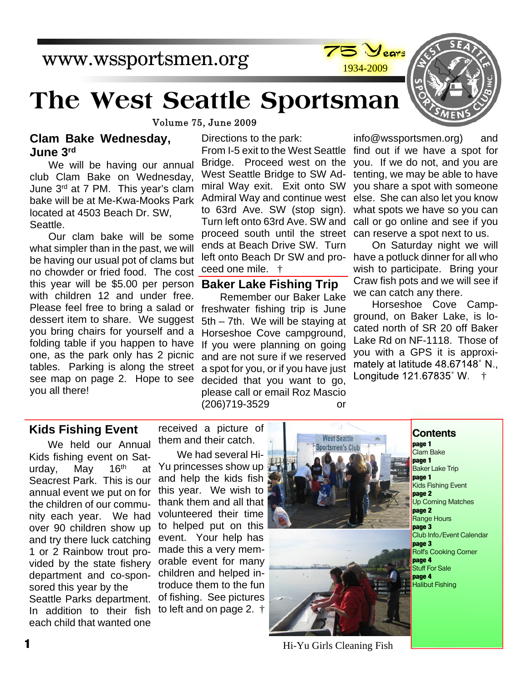## www.wssportsmen.org



# **The West Seattle Sportsman**

Volume 75, June 2009

#### **Clam Bake Wednesday, June 3rd**

We will be having our annual club Clam Bake on Wednesday, June 3rd at 7 PM. This year's clam bake will be at Me-Kwa-Mooks Park located at 4503 Beach Dr. SW, Seattle.

Our clam bake will be some what simpler than in the past, we will be having our usual pot of clams but no chowder or fried food. The cost this year will be \$5.00 per person with children 12 and under free. Please feel free to bring a salad or dessert item to share. We suggest you bring chairs for yourself and a folding table if you happen to have one, as the park only has 2 picnic tables. Parking is along the street see map on page 2. Hope to see you all there!

Directions to the park:

From I-5 exit to the West Seattle find out if we have a spot for Bridge. Proceed west on the West Seattle Bridge to SW Admiral Way exit. Exit onto SW Admiral Way and continue west to 63rd Ave. SW (stop sign). Turn left onto 63rd Ave. SW and proceed south until the street ends at Beach Drive SW. Turn left onto Beach Dr SW and proceed one mile. †

#### **Baker Lake Fishing Trip**

Remember our Baker Lake freshwater fishing trip is June 5th – 7th. We will be staying at Horseshoe Cove campground, If you were planning on going and are not sure if we reserved a spot for you, or if you have just decided that you want to go, please call or email Roz Mascio (206)719-3529 or

info@wssportsmen.org) and you. If we do not, and you are tenting, we may be able to have you share a spot with someone else. She can also let you know what spots we have so you can call or go online and see if you can reserve a spot next to us.

On Saturday night we will have a potluck dinner for all who wish to participate. Bring your Craw fish pots and we will see if we can catch any there.

Horseshoe Cove Campground, on Baker Lake, is located north of SR 20 off Baker Lake Rd on NF-1118. Those of you with a GPS it is approxi mately at latitude 48 67148°N, Longitude 121.67835° W. †

#### **Kids Fishing Event**

We held our Annual Kids fishing event on Saturday. May 16<sup>th</sup> at Seacrest Park. This is our annual event we put on for the children of our community each year. We had over 90 children show up and try there luck catching 1 or 2 Rainbow trout provided by the state fishery department and co-sponsored this year by the Seattle Parks department. In addition to their fish to left and on page 2. † each child that wanted one

received a picture of them and their catch.

We had several Hi-Yu princesses show up and help the kids fish this year. We wish to thank them and all that volunteered their time to helped put on this event. Your help has made this a very memorable event for many children and helped introduce them to the fun of fishing. See pictures





Hi-Yu Girls Cleaning Fish

- **Contents**
- **page 1** Clam Bake **page 1** Baker Lake Trip **page 1** Kids Fishing Event **page 2** Up Coming Matches **page 2** Range Hours **page 3** Club Info./Event Calendar **page 3** Rolf's Cooking Corner **page 4** .<br>Stuff For Sale **page 4** Halibut Fishing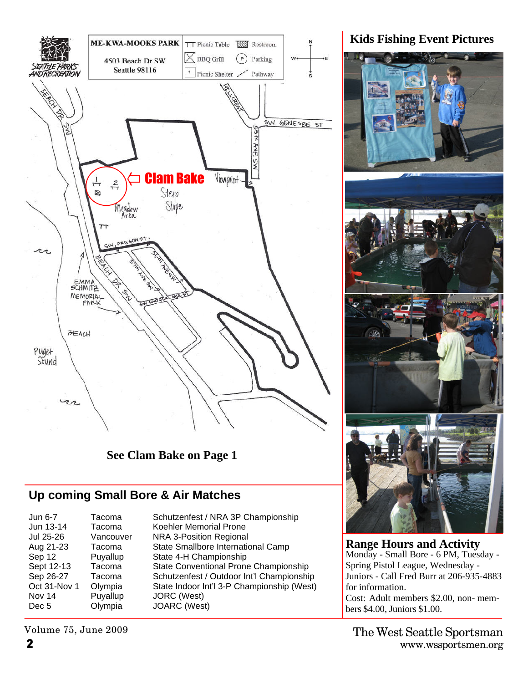

**See Clam Bake on Page 1**

## **Up coming Small Bore & Air Matches**

| Jun 6-7          | Tacoma    |
|------------------|-----------|
| Jun 13-14        | Tacoma    |
| Jul 25-26        | Vancouver |
| Aug 21-23        | Tacoma    |
| Sep 12           | Puyallup  |
| Sept 12-13       | Tacoma    |
| Sep 26-27        | Tacoma    |
| Oct 31-Nov 1     | Olympia   |
| Nov 14           | Puyallup  |
| Dec <sub>5</sub> | Olympia   |
|                  |           |

Schutzenfest / NRA 3P Championship Koehler Memorial Prone er NRA 3-Position Regional State Smallbore International Camp State 4-H Championship State Conventional Prone Championship Schutzenfest / Outdoor Int'l Championship State Indoor Int'l 3-P Championship (West) JORC (West) JOARC (West)

Volume 75, June 2009

**Range Hours and Activity** Monday - Small Bore - 6 PM, Tuesday - Spring Pistol League, Wednesday - Juniors - Call Fred Burr at 206-935-4883

for information.

#### **Kids Fishing Event Pictures**

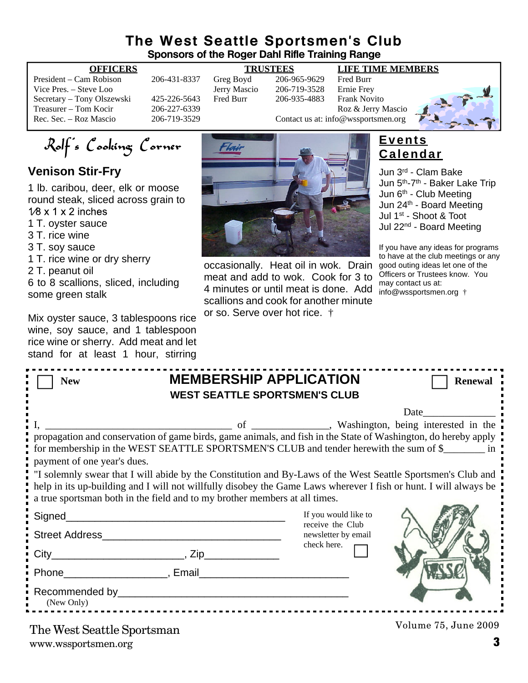### **The West Seattle Sportsmen's Club Sponsors of the Roger Dahl Rifle Training Range**

President – Cam Robison 206-431-8337 Greg Boyd 206-965-9629 Fred Burr Vice Pres. – Steve Loo Jerry Mascio 206-719-3528 Ernie Frey Secretary – Tony Olszewski 425-226-5643 Fred Burr 206-935-4883 Frank Novito

#### **OFFICERS TRUSTEES LIFE TIME MEMBERS**

Treasurer – Tom Kocir 206-227-6339<br>
Roz & Jerry Mascio<br>
206-719-3529 Contact us at: info@wssportsmen.org Contact us at: info@wssportsmen.org



Rolf's Cooking Corner

### **Venison Stir-Fry**

1 lb. caribou, deer, elk or moose round steak, sliced across grain to  $1/8 \times 1 \times 2$  inches

- 1 T. oyster sauce
- 3 T. rice wine
- 3 T. soy sauce
- 1 T. rice wine or dry sherry
- 2 T. peanut oil

6 to 8 scallions, sliced, including some green stalk

Mix oyster sauce, 3 tablespoons rice wine, soy sauce, and 1 tablespoon rice wine or sherry. Add meat and let stand for at least 1 hour, stirring

![](_page_2_Picture_18.jpeg)

occasionally. Heat oil in wok. Drain meat and add to wok. Cook for 3 to 4 minutes or until meat is done. Add scallions and cook for another minute or so. Serve over hot rice. †

### **Events Calendar**

Jun 3rd - Clam Bake Jun 5<sup>th</sup>-7<sup>th</sup> - Baker Lake Trip Jun  $6<sup>th</sup>$  - Club Meeting Jun 24th - Board Meeting Jul 1st - Shoot & Toot Jul 22nd - Board Meeting

If you have any ideas for programs to have at the club meetings or any good outing ideas let one of the Officers or Trustees know. You may contact us at: info@wssportsmen.org †

| <b>New</b>                                                                                                                                                                                                                                                                                                     | <b>MEMBERSHIP APPLICATION</b><br><b>WEST SEATTLE SPORTSMEN'S CLUB</b> | <b>Renewal</b> |  |
|----------------------------------------------------------------------------------------------------------------------------------------------------------------------------------------------------------------------------------------------------------------------------------------------------------------|-----------------------------------------------------------------------|----------------|--|
|                                                                                                                                                                                                                                                                                                                |                                                                       |                |  |
| propagation and conservation of game birds, game animals, and fish in the State of Washington, do hereby apply<br>for membership in the WEST SEATTLE SPORTSMEN'S CLUB and tender herewith the sum of \$<br>payment of one year's dues.                                                                         |                                                                       |                |  |
| "I solemnly swear that I will abide by the Constitution and By-Laws of the West Seattle Sportsmen's Club and<br>help in its up-building and I will not willfully disobey the Game Laws wherever I fish or hunt. I will always be<br>a true sportsman both in the field and to my brother members at all times. |                                                                       |                |  |
| Signed                                                                                                                                                                                                                                                                                                         | If you would like to                                                  |                |  |
|                                                                                                                                                                                                                                                                                                                | receive the Club<br>newsletter by email                               |                |  |
| $City$ $City$ $Zip$                                                                                                                                                                                                                                                                                            | check here.                                                           |                |  |
| Phone Reserves and Phone Reserves and Phone Reserves and Phone Reserves and Phone Reserves and Phone Reserves                                                                                                                                                                                                  |                                                                       |                |  |
| Recommended by Participants and the commended by<br>(New Only)                                                                                                                                                                                                                                                 |                                                                       |                |  |
|                                                                                                                                                                                                                                                                                                                |                                                                       |                |  |

www.wssportsmen.org **3** The West Seattle Sportsman